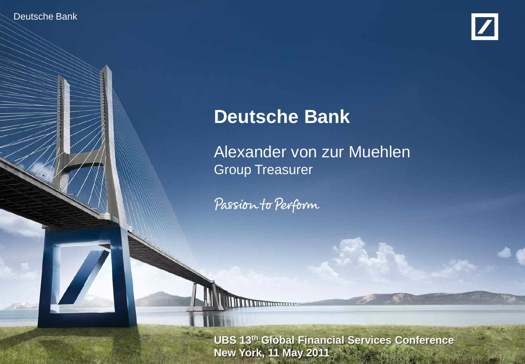Deutsche Bank

Deutsche Bank Investor Relations



# **Deutsche Bank**

Alexander von zur Muehlen Group Treasurer

Passion to Perform

**UBS 13<sup>th</sup> Global Financial Services Conference Alexander Victor Von Zur Music Treasurer Victor New York, 11 May 2011**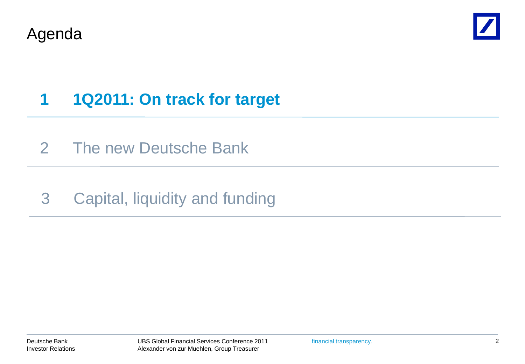



# **1 1Q2011: On track for target**

- 2 The new Deutsche Bank
- 3 Capital, liquidity and funding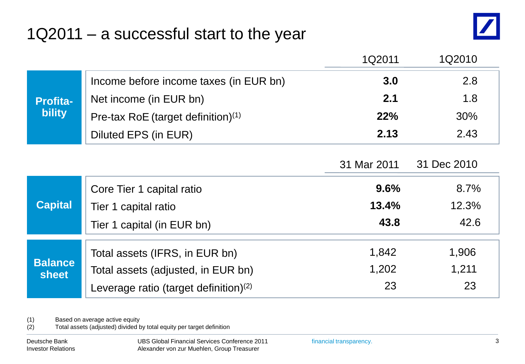### 1Q2011 – a successful start to the year



|                                  |                                          | 1Q2011      | 1Q2010      |
|----------------------------------|------------------------------------------|-------------|-------------|
| <b>Profita-</b><br><b>bility</b> | Income before income taxes (in EUR bn)   | 3.0         | 2.8         |
|                                  | 2.1<br>Net income (in EUR bn)            |             | 1.8         |
|                                  | Pre-tax RoE (target definition) $(1)$    | <b>22%</b>  | 30%         |
|                                  | Diluted EPS (in EUR)                     | 2.13        | 2.43        |
|                                  |                                          |             |             |
|                                  |                                          | 31 Mar 2011 | 31 Dec 2010 |
| <b>Capital</b>                   | Core Tier 1 capital ratio                | 9.6%        | 8.7%        |
|                                  | Tier 1 capital ratio                     | 13.4%       | 12.3%       |
|                                  | Tier 1 capital (in EUR bn)               | 43.8        | 42.6        |
| <b>Balance</b><br><b>sheet</b>   | Total assets (IFRS, in EUR bn)           | 1,842       | 1,906       |
|                                  | Total assets (adjusted, in EUR bn)       | 1,202       | 1,211       |
|                                  | Leverage ratio (target definition) $(2)$ | 23          | 23          |
|                                  |                                          |             |             |

(1) Based on average active equity

(2) Total assets (adjusted) divided by total equity per target definition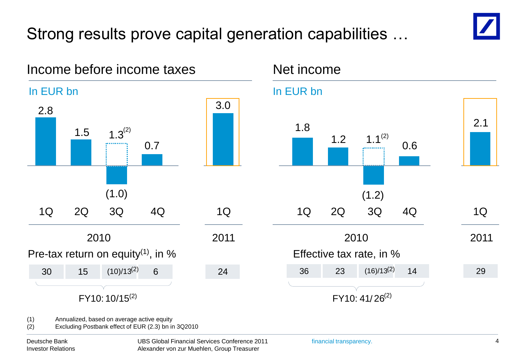# Strong results prove capital generation capabilities …

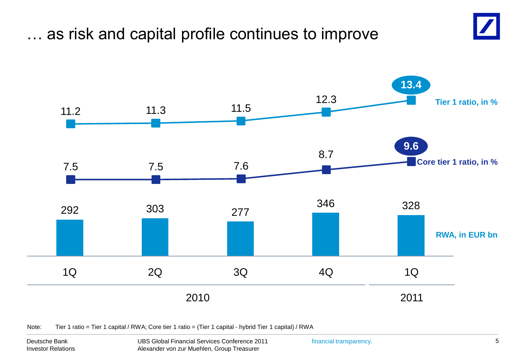### … as risk and capital profile continues to improve





Note: Tier 1 ratio = Tier 1 capital / RWA; Core tier 1 ratio = (Tier 1 capital - hybrid Tier 1 capital) / RWA

Deutsche Bank Investor Relations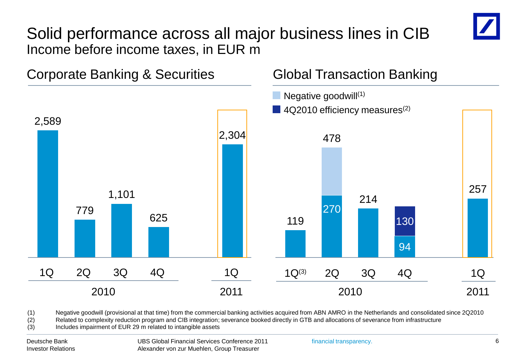#### Solid performance across all major business lines in CIB Income before income taxes, in EUR m



(1) Negative goodwill (provisional at that time) from the commercial banking activities acquired from ABN AMRO in the Netherlands and consolidated since 2Q2010

(2) Related to complexity reduction program and CIB integration; severance booked directly in GTB and allocations of severance from infrastructure

(3) Includes impairment of EUR 29 m related to intangible assets

Deutsche Bank Investor Relations UBS Global Financial Services Conference 2011 Alexander von zur Muehlen, Group Treasurer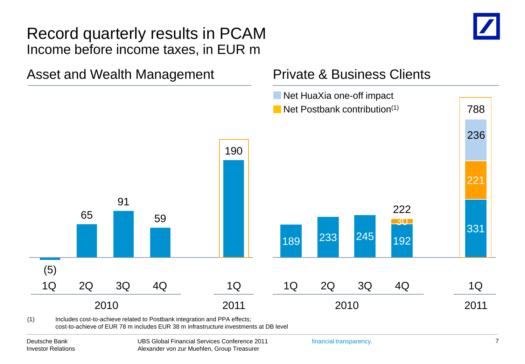#### Record quarterly results in PCAM Income before income taxes, in EUR m



#### Asset and Wealth Management Private & Business Clients Net HuaXia one-off impact **Net Postbank contribution**<sup>(1)</sup> 288

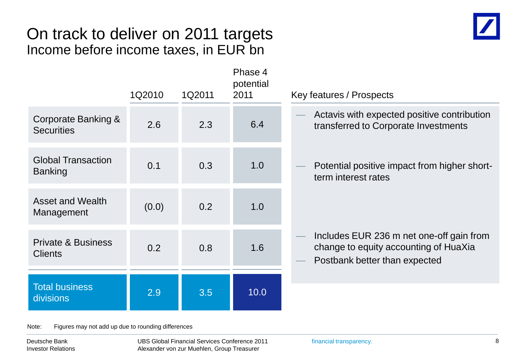#### On track to deliver on 2011 targets Income before income taxes, in EUR bn

|                                                 | 1Q2010 | 1Q2011 | Phase 4<br>potential<br>2011 | Key features / Prospects                                                                                           |
|-------------------------------------------------|--------|--------|------------------------------|--------------------------------------------------------------------------------------------------------------------|
| Corporate Banking &<br><b>Securities</b>        | 2.6    | 2.3    | 6.4                          | Actavis with expected positive contribution<br>transferred to Corporate Investments                                |
| <b>Global Transaction</b><br><b>Banking</b>     | 0.1    | 0.3    | 1.0                          | Potential positive impact from higher short-<br>term interest rates                                                |
| Asset and Wealth<br>Management                  | (0.0)  | 0.2    | 1.0                          |                                                                                                                    |
| <b>Private &amp; Business</b><br><b>Clients</b> | 0.2    | 0.8    | 1.6                          | Includes EUR 236 m net one-off gain from<br>change to equity accounting of HuaXia<br>Postbank better than expected |
| <b>Total business</b><br>divisions              | 2.9    | 3.5    | 10.0                         |                                                                                                                    |
|                                                 |        |        |                              |                                                                                                                    |

Note: Figures may not add up due to rounding differences

Deutsche Bank Investor Relations UBS Global Financial Services Conference 2011 Alexander von zur Muehlen, Group Treasurer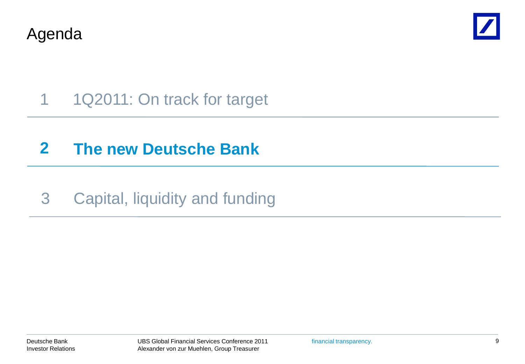Agenda



# 1 1Q2011: On track for target

## **2 The new Deutsche Bank**

## 3 Capital, liquidity and funding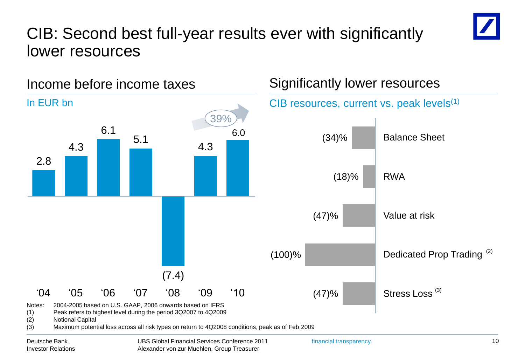### CIB: Second best full-year results ever with significantly lower resources





Deutsche Bank Investor Relations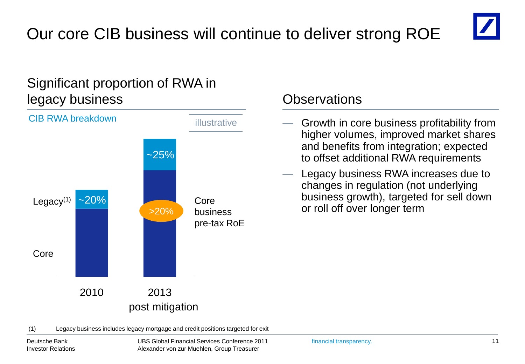# Our core CIB business will continue to deliver strong ROE



#### Significant proportion of RWA in legacy business Observations



- Growth in core business profitability from higher volumes, improved market shares and benefits from integration; expected to offset additional RWA requirements
- Legacy business RWA increases due to changes in regulation (not underlying business growth), targeted for sell down or roll off over longer term

(1) Legacy business includes legacy mortgage and credit positions targeted for exit

Deutsche Bank Investor Relations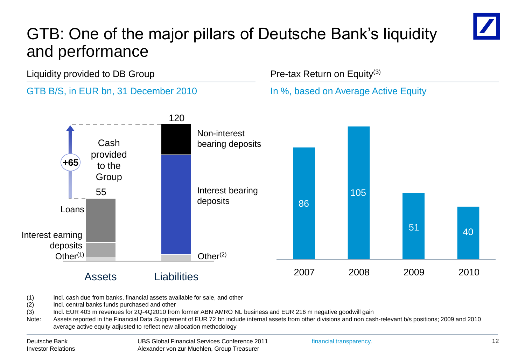## GTB: One of the major pillars of Deutsche Bank's liquidity and performance



Liquidity provided to DB Group



- (1) Incl. cash due from banks, financial assets available for sale, and other
- (2) Incl. central banks funds purchased and other
- (3) Incl. EUR 403 m revenues for 2Q-4Q2010 from former ABN AMRO NL business and EUR 216 m negative goodwill gain
- Note: Assets reported in the Financial Data Supplement of EUR 72 bn include internal assets from other divisions and non cash-relevant b/s positions; 2009 and 2010 average active equity adjusted to reflect new allocation methodology

financial transparency.

Pre-tax Return on Equity(3)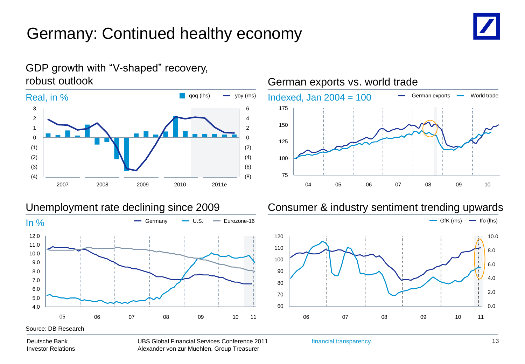## Germany: Continued healthy economy





#### GDP growth with "V-shaped" recovery, robust outlook



#### Unemployment rate declining since 2009 Consumer & industry sentiment trending upwards



#### Deutsche Bank Investor Relations

UBS Global Financial Services Conference 2011 Alexander von zur Muehlen, Group Treasurer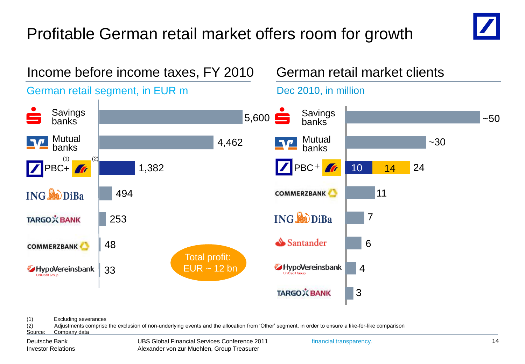# Profitable German retail market offers room for growth





<sup>(1)</sup> Excluding severances

(2) Adjustments comprise the exclusion of non-underlying events and the allocation from 'Other' segment, in order to ensure a like-for-like comparison Source: Company data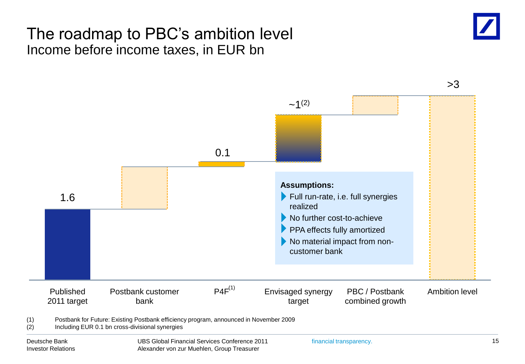#### The roadmap to PBC's ambition level Income before income taxes, in EUR bn



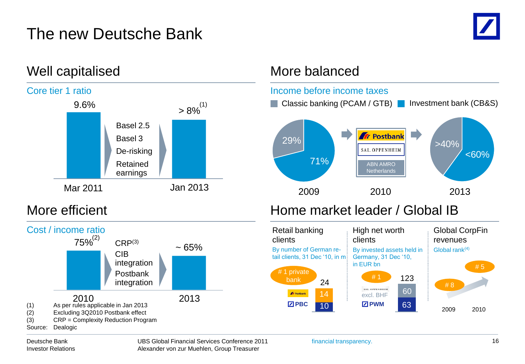## The new Deutsche Bank





2010 2013

integration Postbank integration

CIB





(1) As per rules applicable in Jan 2013 (2) Excluding 3Q2010 Postbank effect

(3) CRP = Complexity Reduction Program

Source: Dealogic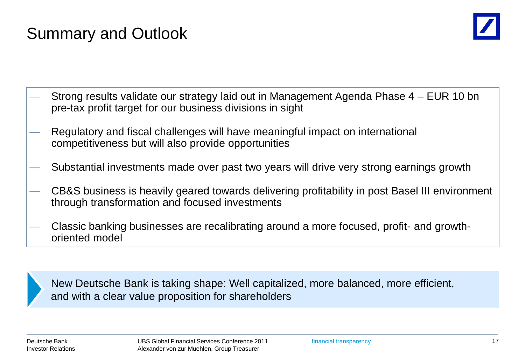## Summary and Outlook



- Strong results validate our strategy laid out in Management Agenda Phase 4 EUR 10 bn pre-tax profit target for our business divisions in sight
- Regulatory and fiscal challenges will have meaningful impact on international competitiveness but will also provide opportunities
- Substantial investments made over past two years will drive very strong earnings growth
- CB&S business is heavily geared towards delivering profitability in post Basel III environment through transformation and focused investments
- Classic banking businesses are recalibrating around a more focused, profit- and growthoriented model

New Deutsche Bank is taking shape: Well capitalized, more balanced, more efficient, and with a clear value proposition for shareholders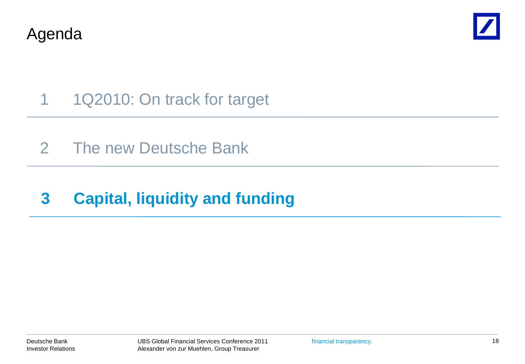Agenda



- 1 1Q2010: On track for target
- 2 The new Deutsche Bank

# **3 Capital, liquidity and funding**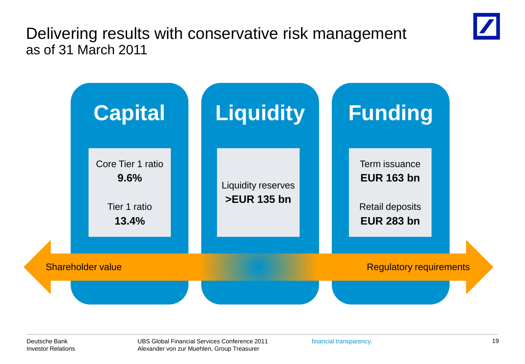Delivering results with conservative risk management as of 31 March 2011



Deutsche Bank Investor Relations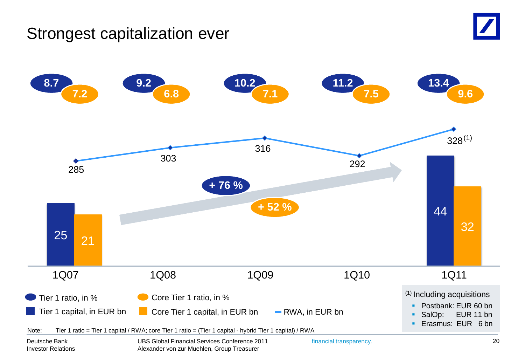#### Strongest capitalization ever



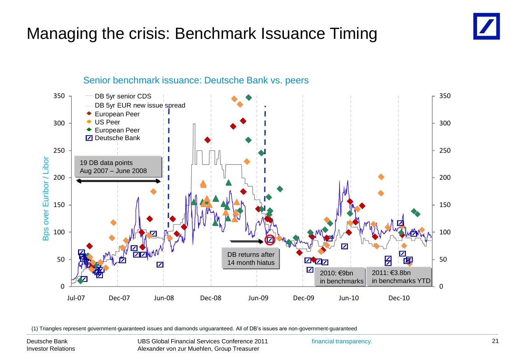## Managing the crisis: Benchmark Issuance Timing



#### Senior benchmark issuance: Deutsche Bank vs. peers

(1) Triangles represent government-guaranteed issues and diamonds unguaranteed. All of DB's issues are non-government-guaranteed

Deutsche Bank Investor Relations

UBS Global Financial Services Conference 2011 Alexander von zur Muehlen, Group Treasurer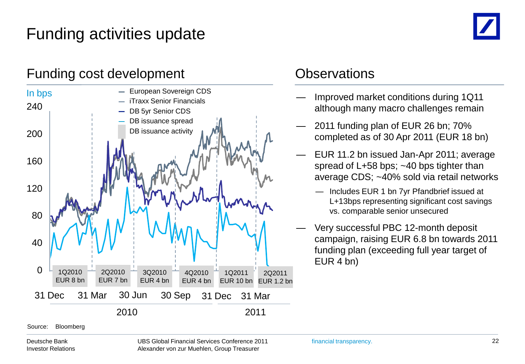# Funding activities update

#### Funding cost development Contact Contact Contact Contact Contact Contact Contact Contact Contact Contact Contact Contact Contact Contact Contact Contact Contact Contact Contact Contact Contact Contact Contact Contact Conta



- Improved market conditions during 1Q11 although many macro challenges remain
- 2011 funding plan of EUR 26 bn: 70% completed as of 30 Apr 2011 (EUR 18 bn)
- EUR 11.2 bn issued Jan-Apr 2011; average spread of L+58 bps; ~40 bps tighter than average CDS; ~40% sold via retail networks
	- Includes EUR 1 bn 7yr Pfandbrief issued at L+13bps representing significant cost savings vs. comparable senior unsecured
- Very successful PBC 12-month deposit campaign, raising EUR 6.8 bn towards 2011 funding plan (exceeding full year target of EUR 4 bn)

Source: Bloomberg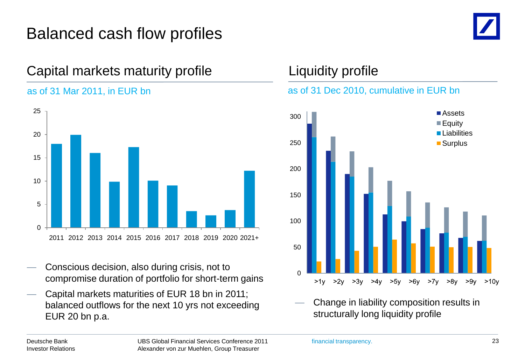## Balanced cash flow profiles



#### Capital markets maturity profile

#### as of 31 Mar 2011, in EUR bn



- Conscious decision, also during crisis, not to compromise duration of portfolio for short-term gains
- Capital markets maturities of EUR 18 bn in 2011; balanced outflows for the next 10 yrs not exceeding EUR 20 bn p.a.

#### Liquidity profile

#### as of 31 Dec 2010, cumulative in EUR bn



— Change in liability composition results in structurally long liquidity profile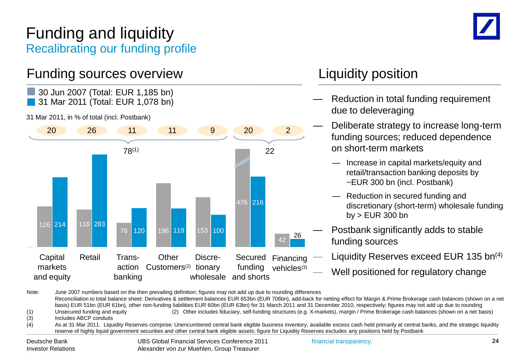#### Funding and liquidity Recalibrating our funding profile

#### Funding sources overview Tunding sources over the Vietnam Muslim Liquidity position



Note: June 2007 numbers based on the then prevailing definition; figures may not add up due to rounding differences Reconciliation to total balance sheet: Derivatives & settlement balances EUR 653bn (EUR 706bn), add-back for netting effect for Margin & Prime Brokerage cash balances (shown on a net basis) EUR 51bn (EUR 61bn), other non-funding liabilities EUR 60bn (EUR 63bn) for 31 March 2011 and 31 December 2010, respectively; figures may not add up due to rounding (1) Unsecured funding and equity (2) Other includes fiduciary, self-funding structures (e.g. X-markets), margin / Prime Brokerage cash balances (shown on a net basis) (3) Includes ABCP conduits (4) As at 31 Mar 2011. Liquidity Reserves comprise: Unencumbered central bank eligible business inventory, available excess cash held primarily at central banks, and the strategic liquidity

reserve of highly liquid government securities and other central bank eligible assets; figure for Liquidity Reserves excludes any positions held by Postbank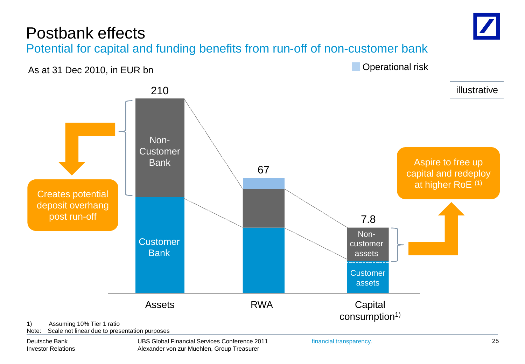### Postbank effects



As at 31 Dec 2010, in EUR bn

**Operational risk** 



Deutsche Bank Investor Relations

UBS Global Financial Services Conference 2011 Alexander von zur Muehlen, Group Treasurer